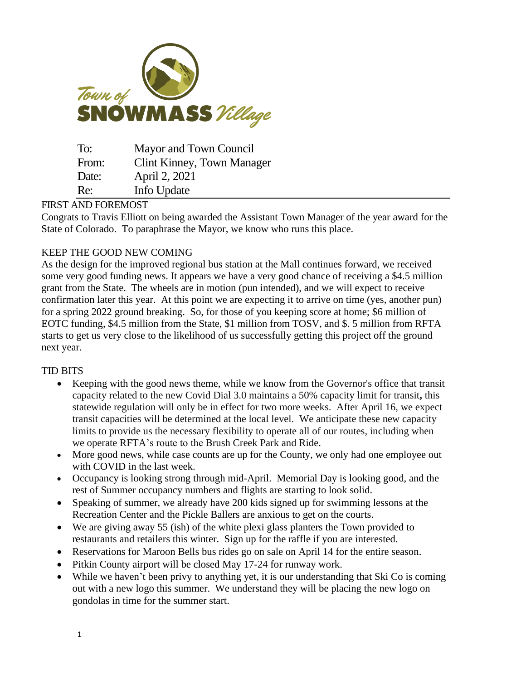

| To:   | Mayor and Town Council     |
|-------|----------------------------|
| From: | Clint Kinney, Town Manager |
| Date: | April 2, 2021              |
| Re:   | Info Update                |

### FIRST AND FOREMOST

Congrats to Travis Elliott on being awarded the Assistant Town Manager of the year award for the State of Colorado. To paraphrase the Mayor, we know who runs this place.

# KEEP THE GOOD NEW COMING

As the design for the improved regional bus station at the Mall continues forward, we received some very good funding news. It appears we have a very good chance of receiving a \$4.5 million grant from the State. The wheels are in motion (pun intended), and we will expect to receive confirmation later this year. At this point we are expecting it to arrive on time (yes, another pun) for a spring 2022 ground breaking. So, for those of you keeping score at home; \$6 million of EOTC funding, \$4.5 million from the State, \$1 million from TOSV, and \$. 5 million from RFTA starts to get us very close to the likelihood of us successfully getting this project off the ground next year.

# TID BITS

- Keeping with the good news theme, while we know from the Governor's office that transit capacity related to the new Covid Dial 3.0 maintains a 50% capacity limit for transit**,** this statewide regulation will only be in effect for two more weeks. After April 16, we expect transit capacities will be determined at the local level. We anticipate these new capacity limits to provide us the necessary flexibility to operate all of our routes, including when we operate RFTA's route to the Brush Creek Park and Ride.
- More good news, while case counts are up for the County, we only had one employee out with COVID in the last week.
- Occupancy is looking strong through mid-April. Memorial Day is looking good, and the rest of Summer occupancy numbers and flights are starting to look solid.
- Speaking of summer, we already have 200 kids signed up for swimming lessons at the Recreation Center and the Pickle Ballers are anxious to get on the courts.
- We are giving away 55 (ish) of the white plexi glass planters the Town provided to restaurants and retailers this winter. Sign up for the raffle if you are interested.
- Reservations for Maroon Bells bus rides go on sale on April 14 for the entire season.
- Pitkin County airport will be closed May 17-24 for runway work.
- While we haven't been privy to anything yet, it is our understanding that Ski Co is coming out with a new logo this summer. We understand they will be placing the new logo on gondolas in time for the summer start.